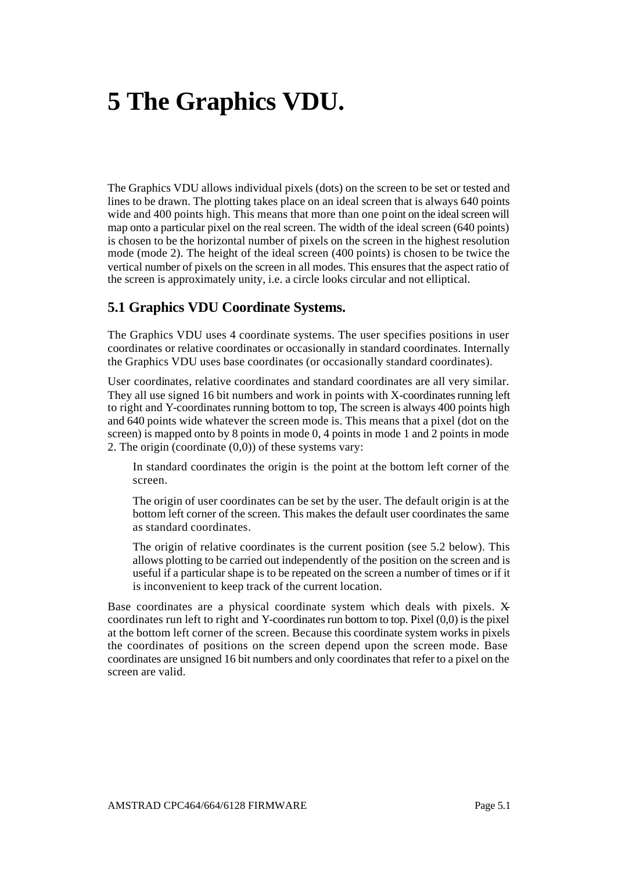# **5 The Graphics VDU.**

The Graphics VDU allows individual pixels (dots) on the screen to be set or tested and lines to be drawn. The plotting takes place on an ideal screen that is always 640 points wide and 400 points high. This means that more than one point on the ideal screen will map onto a particular pixel on the real screen. The width of the ideal screen (640 points) is chosen to be the horizontal number of pixels on the screen in the highest resolution mode (mode 2). The height of the ideal screen (400 points) is chosen to be twice the vertical number of pixels on the screen in all modes. This ensures that the aspect ratio of the screen is approximately unity, i.e. a circle looks circular and not elliptical.

#### **5.1 Graphics VDU Coordinate Systems.**

The Graphics VDU uses 4 coordinate systems. The user specifies positions in user coordinates or relative coordinates or occasionally in standard coordinates. Internally the Graphics VDU uses base coordinates (or occasionally standard coordinates).

User coordinates, relative coordinates and standard coordinates are all very similar. They all use signed 16 bit numbers and work in points with X-coordinates running left to right and Y-coordinates running bottom to top, The screen is always 400 points high and 640 points wide whatever the screen mode is. This means that a pixel (dot on the screen) is mapped onto by 8 points in mode 0, 4 points in mode 1 and 2 points in mode 2. The origin (coordinate (0,0)) of these systems vary:

In standard coordinates the origin is the point at the bottom left corner of the screen.

The origin of user coordinates can be set by the user. The default origin is at the bottom left corner of the screen. This makes the default user coordinates the same as standard coordinates.

The origin of relative coordinates is the current position (see 5.2 below). This allows plotting to be carried out independently of the position on the screen and is useful if a particular shape is to be repeated on the screen a number of times or if it is inconvenient to keep track of the current location.

Base coordinates are a physical coordinate system which deals with pixels. Xcoordinates run left to right and Y-coordinates run bottom to top. Pixel (0,0) is the pixel at the bottom left corner of the screen. Because this coordinate system works in pixels the coordinates of positions on the screen depend upon the screen mode. Base coordinates are unsigned 16 bit numbers and only coordinates that refer to a pixel on the screen are valid.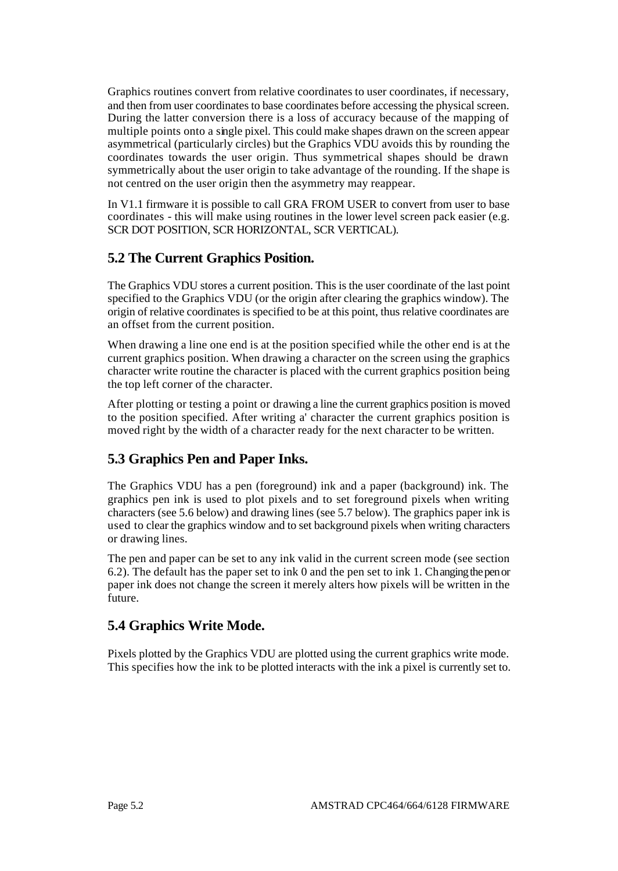Graphics routines convert from relative coordinates to user coordinates, if necessary, and then from user coordinates to base coordinates before accessing the physical screen. During the latter conversion there is a loss of accuracy because of the mapping of multiple points onto a single pixel. This could make shapes drawn on the screen appear asymmetrical (particularly circles) but the Graphics VDU avoids this by rounding the coordinates towards the user origin. Thus symmetrical shapes should be drawn symmetrically about the user origin to take advantage of the rounding. If the shape is not centred on the user origin then the asymmetry may reappear.

In V1.1 firmware it is possible to call GRA FROM USER to convert from user to base coordinates - this will make using routines in the lower level screen pack easier (e.g. SCR DOT POSITION, SCR HORIZONTAL, SCR VERTICAL).

## **5.2 The Current Graphics Position.**

The Graphics VDU stores a current position. This is the user coordinate of the last point specified to the Graphics VDU (or the origin after clearing the graphics window). The origin of relative coordinates is specified to be at this point, thus relative coordinates are an offset from the current position.

When drawing a line one end is at the position specified while the other end is at the current graphics position. When drawing a character on the screen using the graphics character write routine the character is placed with the current graphics position being the top left corner of the character.

After plotting or testing a point or drawing a line the current graphics position is moved to the position specified. After writing a' character the current graphics position is moved right by the width of a character ready for the next character to be written.

## **5.3 Graphics Pen and Paper Inks.**

The Graphics VDU has a pen (foreground) ink and a paper (background) ink. The graphics pen ink is used to plot pixels and to set foreground pixels when writing characters (see 5.6 below) and drawing lines (see 5.7 below). The graphics paper ink is used to clear the graphics window and to set background pixels when writing characters or drawing lines.

The pen and paper can be set to any ink valid in the current screen mode (see section 6.2). The default has the paper set to ink 0 and the pen set to ink 1. Changing the pen or paper ink does not change the screen it merely alters how pixels will be written in the future.

## **5.4 Graphics Write Mode.**

Pixels plotted by the Graphics VDU are plotted using the current graphics write mode. This specifies how the ink to be plotted interacts with the ink a pixel is currently set to.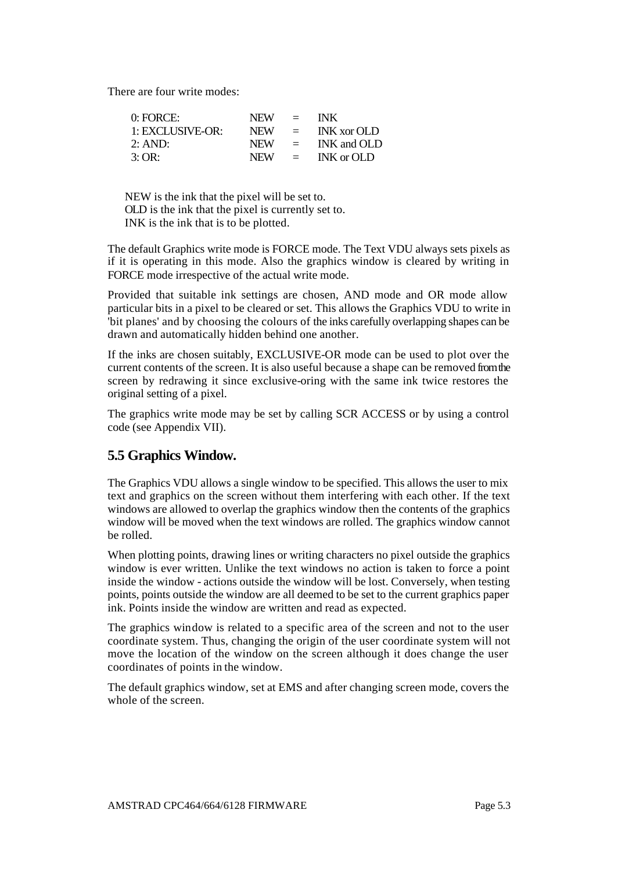There are four write modes:

| $0:$ FORCE:      | NEW -      | $=$                       | <b>INK</b>         |
|------------------|------------|---------------------------|--------------------|
| 1: EXCLUSIVE-OR: | <b>NEW</b> | $\equiv$                  | <b>INK</b> xor OLD |
| 2:AND:           | NEW.       | $\mathbf{r} = \mathbf{r}$ | INK and OLD        |
| 3:OR:            | <b>NEW</b> | $\equiv$                  | INK or OLD         |

NEW is the ink that the pixel will be set to. OLD is the ink that the pixel is currently set to. INK is the ink that is to be plotted.

The default Graphics write mode is FORCE mode. The Text VDU always sets pixels as if it is operating in this mode. Also the graphics window is cleared by writing in FORCE mode irrespective of the actual write mode.

Provided that suitable ink settings are chosen, AND mode and OR mode allow particular bits in a pixel to be cleared or set. This allows the Graphics VDU to write in 'bit planes' and by choosing the colours of the inks carefully overlapping shapes can be drawn and automatically hidden behind one another.

If the inks are chosen suitably, EXCLUSIVE-OR mode can be used to plot over the current contents of the screen. It is also useful because a shape can be removed from the screen by redrawing it since exclusive-oring with the same ink twice restores the original setting of a pixel.

The graphics write mode may be set by calling SCR ACCESS or by using a control code (see Appendix VII).

## **5.5 Graphics Window.**

The Graphics VDU allows a single window to be specified. This allows the user to mix text and graphics on the screen without them interfering with each other. If the text windows are allowed to overlap the graphics window then the contents of the graphics window will be moved when the text windows are rolled. The graphics window cannot be rolled.

When plotting points, drawing lines or writing characters no pixel outside the graphics window is ever written. Unlike the text windows no action is taken to force a point inside the window - actions outside the window will be lost. Conversely, when testing points, points outside the window are all deemed to be set to the current graphics paper ink. Points inside the window are written and read as expected.

The graphics window is related to a specific area of the screen and not to the user coordinate system. Thus, changing the origin of the user coordinate system will not move the location of the window on the screen although it does change the user coordinates of points in the window.

The default graphics window, set at EMS and after changing screen mode, covers the whole of the screen.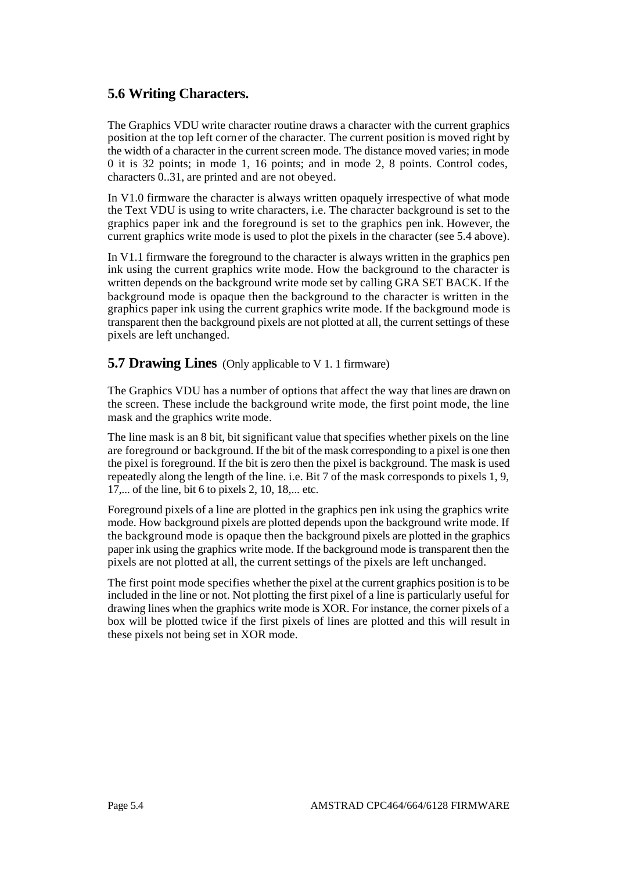## **5.6 Writing Characters.**

The Graphics VDU write character routine draws a character with the current graphics position at the top left corner of the character. The current position is moved right by the width of a character in the current screen mode. The distance moved varies; in mode 0 it is 32 points; in mode 1, 16 points; and in mode 2, 8 points. Control codes, characters 0..31, are printed and are not obeyed.

In V1.0 firmware the character is always written opaquely irrespective of what mode the Text VDU is using to write characters, i.e. The character background is set to the graphics paper ink and the foreground is set to the graphics pen ink. However, the current graphics write mode is used to plot the pixels in the character (see 5.4 above).

In V1.1 firmware the foreground to the character is always written in the graphics pen ink using the current graphics write mode. How the background to the character is written depends on the background write mode set by calling GRA SET BACK. If the background mode is opaque then the background to the character is written in the graphics paper ink using the current graphics write mode. If the background mode is transparent then the background pixels are not plotted at all, the current settings of these pixels are left unchanged.

#### **5.7 Drawing Lines** (Only applicable to V 1. 1 firmware)

The Graphics VDU has a number of options that affect the way that lines are drawn on the screen. These include the background write mode, the first point mode, the line mask and the graphics write mode.

The line mask is an 8 bit, bit significant value that specifies whether pixels on the line are foreground or background. If the bit of the mask corresponding to a pixel is one then the pixel is foreground. If the bit is zero then the pixel is background. The mask is used repeatedly along the length of the line. i.e. Bit 7 of the mask corresponds to pixels 1, 9, 17,... of the line, bit 6 to pixels 2, 10, 18,... etc.

Foreground pixels of a line are plotted in the graphics pen ink using the graphics write mode. How background pixels are plotted depends upon the background write mode. If the background mode is opaque then the background pixels are plotted in the graphics paper ink using the graphics write mode. If the background mode is transparent then the pixels are not plotted at all, the current settings of the pixels are left unchanged.

The first point mode specifies whether the pixel at the current graphics position is to be included in the line or not. Not plotting the first pixel of a line is particularly useful for drawing lines when the graphics write mode is XOR. For instance, the corner pixels of a box will be plotted twice if the first pixels of lines are plotted and this will result in these pixels not being set in XOR mode.